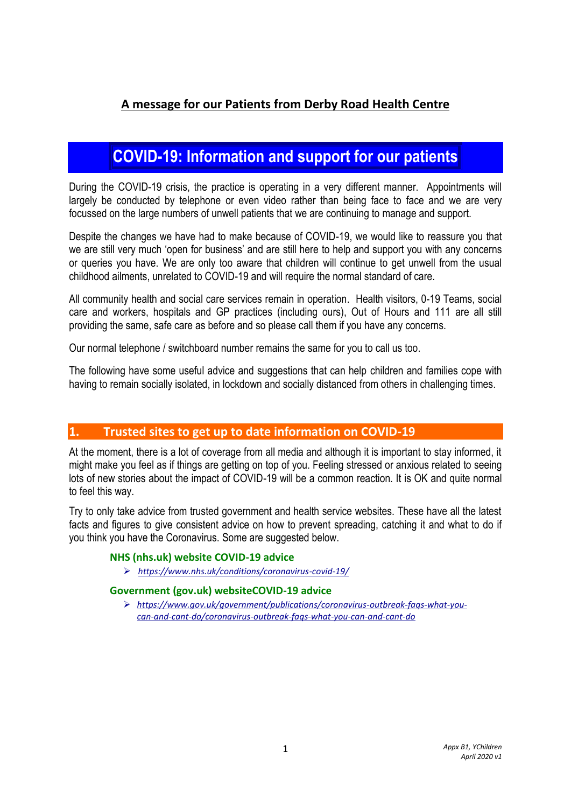# **A message for our Patients from Derby Road Health Centre**

# **COVID-19: Information and support for our patients**

During the COVID-19 crisis, the practice is operating in a very different manner. Appointments will largely be conducted by telephone or even video rather than being face to face and we are very focussed on the large numbers of unwell patients that we are continuing to manage and support.

Despite the changes we have had to make because of COVID-19, we would like to reassure you that we are still very much 'open for business' and are still here to help and support you with any concerns or queries you have. We are only too aware that children will continue to get unwell from the usual childhood ailments, unrelated to COVID-19 and will require the normal standard of care.

All community health and social care services remain in operation. Health visitors, 0-19 Teams, social care and workers, hospitals and GP practices (including ours), Out of Hours and 111 are all still providing the same, safe care as before and so please call them if you have any concerns.

Our normal telephone / switchboard number remains the same for you to call us too.

The following have some useful advice and suggestions that can help children and families cope with having to remain socially isolated, in lockdown and socially distanced from others in challenging times.

# **1. Trusted sites to get up to date information on COVID-19**

At the moment, there is a lot of coverage from all media and although it is important to stay informed, it might make you feel as if things are getting on top of you. Feeling stressed or anxious related to seeing lots of new stories about the impact of COVID-19 will be a common reaction. It is OK and quite normal to feel this way.

Try to only take advice from trusted government and health service websites. These have all the latest facts and figures to give consistent advice on how to prevent spreading, catching it and what to do if you think you have the Coronavirus. Some are suggested below.

### **NHS (nhs.uk) website COVID-19 advice**

*<https://www.nhs.uk/conditions/coronavirus-covid-19/>*

### **Government (gov.uk) websiteCOVID-19 advice**

 *[https://www.gov.uk/government/publications/coronavirus-outbreak-faqs-what-you](https://www.gov.uk/government/publications/coronavirus-outbreak-faqs-what-you-can-and-cant-do/coronavirus-outbreak-faqs-what-you-can-and-cant-do)[can-and-cant-do/coronavirus-outbreak-faqs-what-you-can-and-cant-do](https://www.gov.uk/government/publications/coronavirus-outbreak-faqs-what-you-can-and-cant-do/coronavirus-outbreak-faqs-what-you-can-and-cant-do)*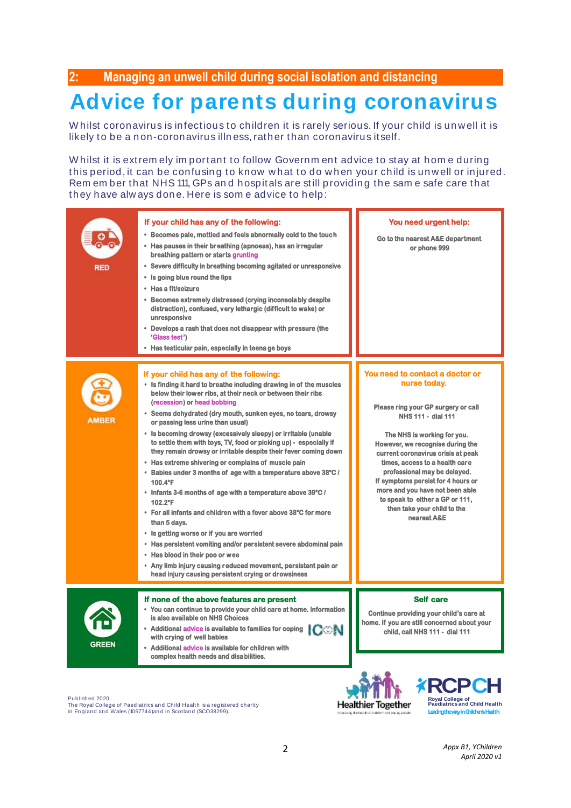**2: Managing an unwell child during social isolation and distancing** 

# 2: **Managing an unwell child during social isolation and distancing**<br> **Advice for parents during coronavirus**<br>
Whilst coronavirus is infectious to children it is rarely serious. If your child is unwell it is<br>
Iikely to be 2: Managing an unwell child during social isolation and dist<br> **Advice for parents during cord**<br>
Whilst coronavirus is infectious to children it is rarely serious. If your<br>
likely to be a non-coronavirus illness, rather tha

Advice for parents during coronality and whilst coronavirus is infectious to children it is rarely serious. If your child is unwell it<br>likely to be a non-coronavirus illness, rather than coronavirus itself.<br>Whilst it is ex Whilst coronavirus is infectious to children it is rarely serious. If your child is unwell it is<br>likely to be a non-coronavirus illness, rather than coronavirus itself.<br>Whilst it is extremely important to follow Government Whilst coronavirus is infectious to children it is rarely serious. If your child is unwell it is<br>likely to be a non-coronavirus illness, rather than coronavirus itself.<br>Whilst it is extrem ely important to follow Governmen likely to be a non-coronavirus illness, rather than cor<br>Whilst it is extrem ely important to follow Governme<br>this period, it can be confusing to know what to do v<br>Rem ember that NHS 111, GPs and hospitals are still p<br>they

| <b>RED</b>   | If your child has any of the following:<br>• Becomes pale, mottled and feels abnormally cold to the touch<br>• Has pauses in their breathing (apnoeas), has an irregular<br>breathing pattern or starts grunting<br>• Severe difficulty in breathing becoming agitated or unresponsive<br>• Is going blue round the lips<br>• Has a fit/seizure<br>• Becomes extremely distressed (crying inconsolably despite<br>distraction), confused, very lethargic (difficult to wake) or<br>unresponsive<br>• Develops a rash that does not disappear with pressure (the<br>'Glass test')<br>• Has testicular pain, especially in teena ge boys                                                                                                                                                                                                                                                                                                                                                                                                                                                                    | You need urgent help:<br>Go to the nearest A&E department<br>or phone 999                                                                                                                                                                                                                                                                                                                                                                         |
|--------------|-----------------------------------------------------------------------------------------------------------------------------------------------------------------------------------------------------------------------------------------------------------------------------------------------------------------------------------------------------------------------------------------------------------------------------------------------------------------------------------------------------------------------------------------------------------------------------------------------------------------------------------------------------------------------------------------------------------------------------------------------------------------------------------------------------------------------------------------------------------------------------------------------------------------------------------------------------------------------------------------------------------------------------------------------------------------------------------------------------------|---------------------------------------------------------------------------------------------------------------------------------------------------------------------------------------------------------------------------------------------------------------------------------------------------------------------------------------------------------------------------------------------------------------------------------------------------|
| <b>AMBER</b> | If your child has any of the following:<br>• Is finding it hard to breathe including drawing in of the muscles<br>below their lower ribs, at their neck or between their ribs<br>(recession) or head bobbing<br>• Seems dehydrated (dry mouth, sunken eyes, no tears, drowsy<br>or passing less urine than usual)<br>• Is becoming drowsy (excessively sleepy) or irritable (unable<br>to settle them with toys, TV, food or picking up) - especially if<br>they remain drowsy or irritable despite their fever coming down<br>• Has extreme shivering or complains of muscle pain<br>• Babies under 3 months of age with a temperature above 38°C /<br>100.4°F<br>• Infants 3-6 months of age with a temperature above 39°C /<br>102.2°F<br>• For all infants and children with a fever above 38°C for more<br>than 5 days.<br>• Is getting worse or if you are worried<br>• Has persistent vomiting and/or persistent severe abdominal pain<br>• Has blood in their poo or wee<br>• Any limb injury causing reduced movement, persistent pain or<br>head injury causing persistent crying or drowsiness | You need to contact a doctor or<br>nurse today.<br>Please ring your GP surgery or call<br>NHS 111 - dial 111<br>The NHS is working for you.<br>However, we recognise during the<br>current coronavirus crisis at peak<br>times, access to a health care<br>professional may be delayed.<br>If symptoms persist for 4 hours or<br>more and you have not been able<br>to speak to either a GP or 111,<br>then take your child to the<br>nearest A&E |
| <b>GREEN</b> | If none of the above features are present<br>• You can continue to provide your child care at home. Information<br>is also available on NHS Choices<br>• Additional advice is available to families for coping<br><b>ICON</b><br>with crving of well babies<br>• Additional advice is available for children with<br>complex health needs and disabilities.                                                                                                                                                                                                                                                                                                                                                                                                                                                                                                                                                                                                                                                                                                                                               | <b>Self care</b><br>Continue providing your child's care at<br>home. If you are still concerned about your<br>child, call NHS 111 - dial 111                                                                                                                                                                                                                                                                                                      |

Publish ed 2020

Published 2020<br>The Royal College of Paediatrics and Child Health is a registered charity<br>in England and Wales (1057744)and in Scotland (SCO38299).



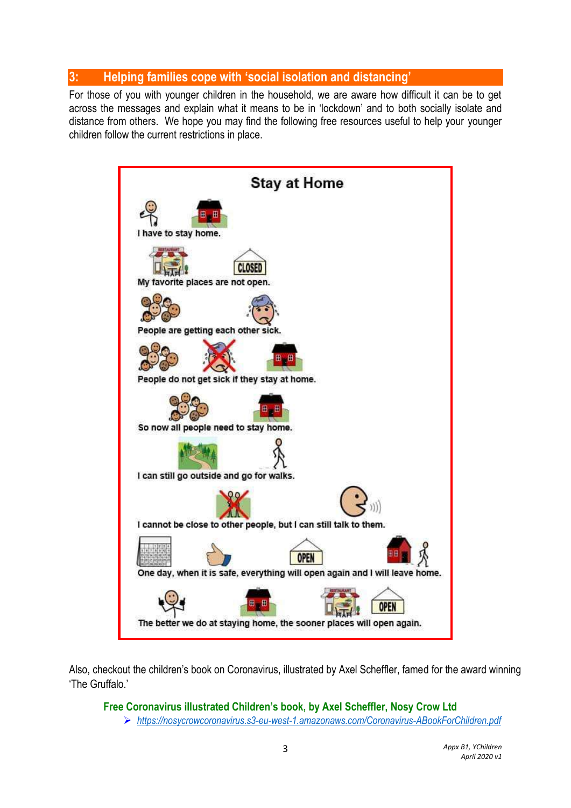# **3: Helping families cope with 'social isolation and distancing'**

For those of you with younger children in the household, we are aware how difficult it can be to get across the messages and explain what it means to be in 'lockdown' and to both socially isolate and distance from others. We hope you may find the following free resources useful to help your younger children follow the current restrictions in place.



Also, checkout the children's book on Coronavirus, illustrated by Axel Scheffler, famed for the award winning 'The Gruffalo.'

**Free Coronavirus illustrated Children's book, by Axel Scheffler, Nosy Crow Ltd**

*<https://nosycrowcoronavirus.s3-eu-west-1.amazonaws.com/Coronavirus-ABookForChildren.pdf>*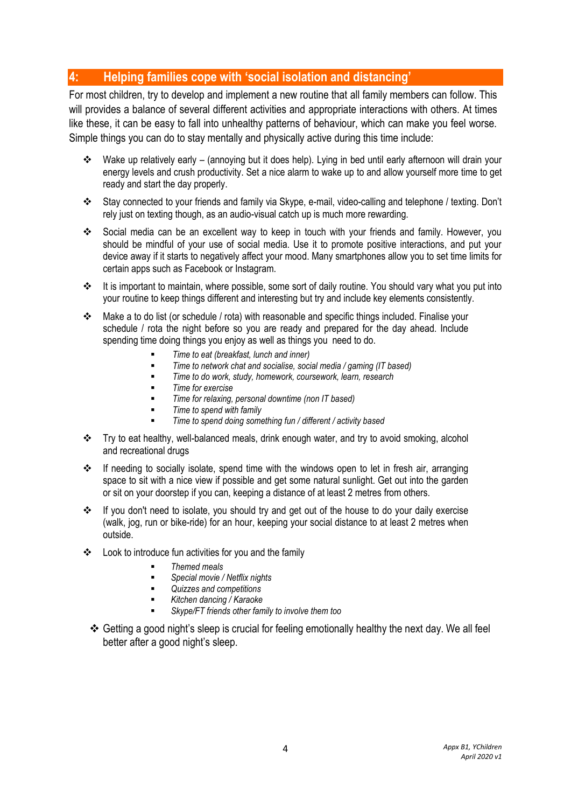# **4: Helping families cope with 'social isolation and distancing'**

For most children, try to develop and implement a new routine that all family members can follow. This will provides a balance of several different activities and appropriate interactions with others. At times like these, it can be easy to fall into unhealthy patterns of behaviour, which can make you feel worse. Simple things you can do to stay mentally and physically active during this time include:

- Wake up relatively early (annoying but it does help). Lying in bed until early afternoon will drain your energy levels and crush productivity. Set a nice alarm to wake up to and allow yourself more time to get ready and start the day properly.
- Stay connected to your friends and family via Skype, e-mail, video-calling and telephone / texting. Don't rely just on texting though, as an audio-visual catch up is much more rewarding.
- Social media can be an excellent way to keep in touch with your friends and family. However, you should be mindful of your use of social media. Use it to promote positive interactions, and put your device away if it starts to negatively affect your mood. Many smartphones allow you to set time limits for certain apps such as Facebook or Instagram.
- $\div$  It is important to maintain, where possible, some sort of daily routine. You should vary what you put into your routine to keep things different and interesting but try and include key elements consistently.
- Make a to do list (or schedule / rota) with reasonable and specific things included. Finalise your schedule / rota the night before so you are ready and prepared for the day ahead. Include spending time doing things you enjoy as well as things you need to do.
	- *Time to eat (breakfast, lunch and inner)*
	- *Time to network chat and socialise, social media / gaming (IT based)*
	- *Time to do work, study, homework, coursework, learn, research*
	- *Time for exercise*
	- *Time for relaxing, personal downtime (non IT based)*
	- *Time to spend with family*
	- *Time to spend doing something fun / different / activity based*
- Try to eat healthy, well-balanced meals, drink enough water, and try to avoid smoking, alcohol and recreational drugs
- If needing to socially isolate, spend time with the windows open to let in fresh air, arranging space to sit with a nice view if possible and get some natural sunlight. Get out into the garden or sit on your doorstep if you can, keeping a distance of at least 2 metres from others.
- $\div$  If you don't need to isolate, you should try and get out of the house to do your daily exercise (walk, jog, run or bike-ride) for an hour, keeping your social distance to at least 2 metres when outside.
- Look to introduce fun activities for you and the family
	- *Themed meals*
	- *Special movie / Netflix nights*
	- *Quizzes and competitions*
	- *Kitchen dancing / Karaoke*
	- *Skype/FT friends other family to involve them too*
- Getting a good night's sleep is crucial for feeling emotionally healthy the next day. We all feel better after a good night's sleep.